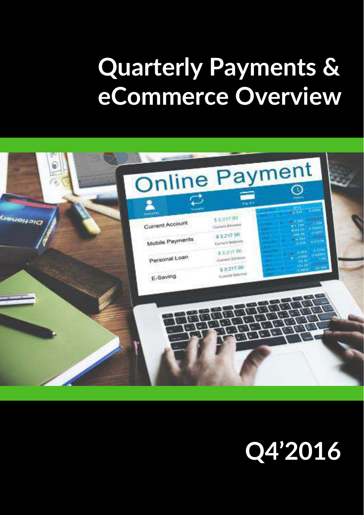# **Quarterly Payments & eCommerce Overview**



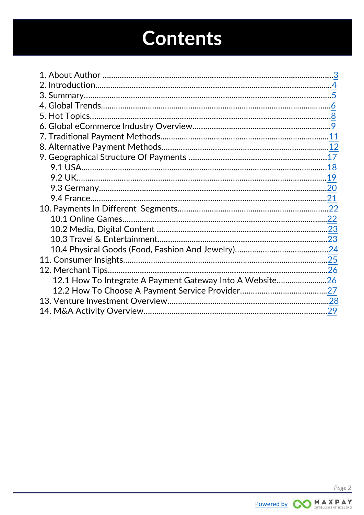# **Contents**

|                                                          | .19 |
|----------------------------------------------------------|-----|
|                                                          |     |
|                                                          |     |
|                                                          |     |
|                                                          |     |
|                                                          |     |
|                                                          |     |
|                                                          |     |
|                                                          |     |
|                                                          |     |
| 12.1 How To Integrate A Payment Gateway Into A Website26 |     |
|                                                          |     |
|                                                          |     |
|                                                          |     |

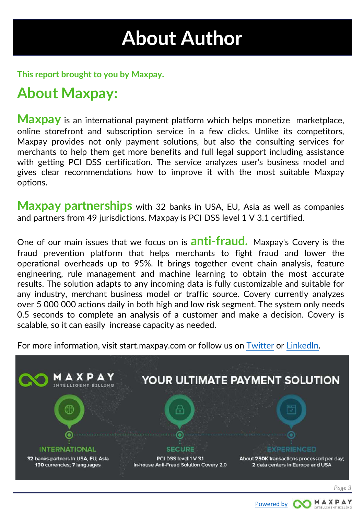## **About Author**

<span id="page-2-0"></span>**This report brought to you by Maxpay.**

### **About Maxpay:**

**Maxpay** is an international payment platform which helps monetize marketplace, online storefront and subscription service in a few clicks. Unlike its competitors, Maxpay provides not only payment solutions, but also the consulting services for merchants to help them get more benefits and full legal support including assistance with getting PCI DSS certification. The service analyzes user's business model and gives clear recommendations how to improve it with the most suitable Maxpay options.

**Maxpay partnerships** with 32 banks in USA, EU, Asia as well as companies and partners from 49 jurisdictions. Maxpay is PCI DSS level 1 V 3.1 certified.

One of our main issues that we focus on is **anti-fraud.** Maxpay's Covery is the fraud prevention platform that helps merchants to fight fraud and lower the operational overheads up to 95%. It brings together event chain analysis, feature engineering, rule management and machine learning to obtain the most accurate results. The solution adapts to any incoming data is fully customizable and suitable for any industry, merchant business model or traffic source. Covery currently analyzes over 5 000 000 actions daily in both high and low risk segment. The system only needs 0.5 seconds to complete an analysis of a customer and make a decision. Covery is scalable, so it can easily increase capacity as needed.

For more information, visit start.maxpay.com or follow us on [Twitter](https://twitter.com/maxpay_ltd) or [LinkedIn](https://www.linkedin.com/company/maxpay-ltd).



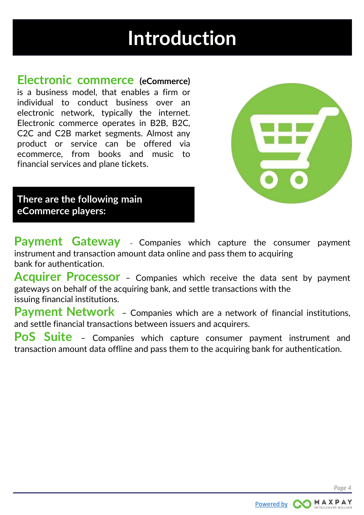## **Introduction**

<span id="page-3-0"></span>**Electronic commerce (eCommerce)** is a business model, that enables a firm or individual to conduct business over an electronic network, typically the internet. Electronic commerce operates in B2B, B2C, C2C and C2B market segments. Almost any product or service can be offered via ecommerce, from books and music to financial services and plane tickets.



**There are the following main eCommerce players:**

**Payment Gateway** – Companies which capture the consumer payment instrument and transaction amount data online and pass them to acquiring bank for authentication.

**Acquirer Processor** – Companies which receive the data sent by payment gateways on behalf of the acquiring bank, and settle transactions with the issuing financial institutions.

**Payment Network** – Companies which are a network of financial institutions, and settle financial transactions between issuers and acquirers.

**PoS Suite** – Companies which capture consumer payment instrument and transaction amount data offline and pass them to the acquiring bank for authentication.

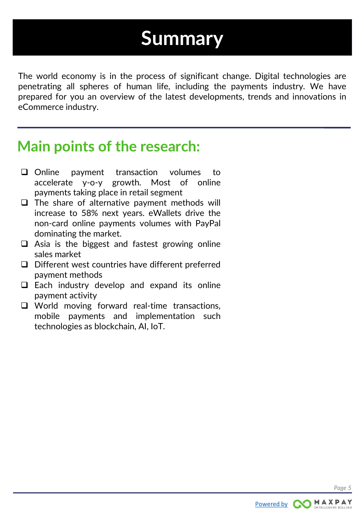### **Summary**

<span id="page-4-0"></span>The world economy is in the process of significant change. Digital technologies are penetrating all spheres of human life, including the payments industry. We have prepared for you an overview of the latest developments, trends and innovations in eCommerce industry.

### **Main points of the research:**

- $\Box$  Online payment transaction volumes to accelerate y-o-y growth. Most of online payments taking place in retail segment
- $\Box$  The share of alternative payment methods will increase to 58% next years. eWallets drive the non-card online payments volumes with PayPal dominating the market.
- $\Box$  Asia is the biggest and fastest growing online sales market
- $\Box$  Different west countries have different preferred payment methods
- $\Box$  Each industry develop and expand its online payment activity
- □ World moving forward real-time transactions, mobile payments and implementation such technologies as blockchain, AI, IoT.

*Page 5*

[Powered by](https://start.maxpay.com/) **COMAXPAY**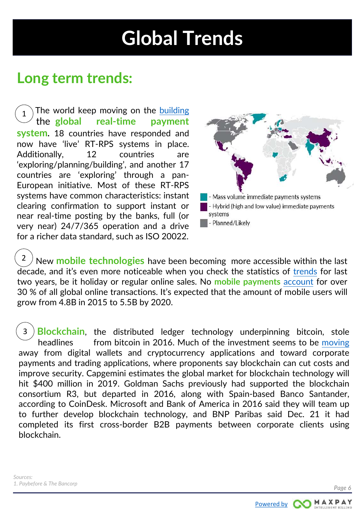## **Global Trends**

### <span id="page-5-0"></span>**Long term trends:**

The world keep moving on the [building](https://www.google.com.ua/url?sa=t&rct=j&q=&esrc=s&source=web&cd=5&cad=rja&uact=8&ved=0ahUKEwi81KGhjp7SAhXCJSwKHfICApEQFghDMAQ&url=https://www.swift.com/node/44536&usg=AFQjCNFTOWd2w0kkkkRf-br73IFAZKf9DA&sig2=yPbeg4X5pWIn0r-1oIKzYQ) qqqqthe**jjglobal real-time payment system.** 18 countries have responded and now have 'live' RT-RPS systems in place. Additionally, 12 countries are 'exploring/planning/building', and another 17 countries are 'exploring' through a pan-European initiative. Most of these RT-RPS systems have common characteristics: instant clearing confirmation to support instant or near real-time posting by the banks, full (or very near) 24/7/365 operation and a drive for a richer data standard, such as ISO 20022. 1



New **mobile technologies** have been becoming more accessible within the last decade, and it's even more noticeable when you check the statistics of [trends](https://nexusmedia-ua.com/blogs/news/mobile-payment-trends-2017) for last two years, be it holiday or regular online sales. No **mobile payments** [account](https://www.adyen.com/blog/mobile-share-of-local-payment-methods-approaches-50-percent) for over 30 % of all global online transactions. It's expected that the amount of mobile users will grow from 4.8B in 2015 to 5.5B by 2020. 2

**Blockchain**, the distributed ledger technology underpinning bitcoin, stole headlines from bitcoin in 2016. Much of the investment seems to be [moving](http://paybefore.com/wp-content/uploads/2017/01/payments_year_in_review_paybefore.pdf) away from digital wallets and cryptocurrency applications and toward corporate payments and trading applications, where proponents say blockchain can cut costs and improve security. Capgemini estimates the global market for blockchain technology will hit \$400 million in 2019. Goldman Sachs previously had supported the blockchain consortium R3, but departed in 2016, along with Spain-based Banco Santander, according to CoinDesk. Microsoft and Bank of America in 2016 said they will team up to further develop blockchain technology, and BNP Paribas said Dec. 21 it had completed its first cross-border B2B payments between corporate clients using blockchain. 3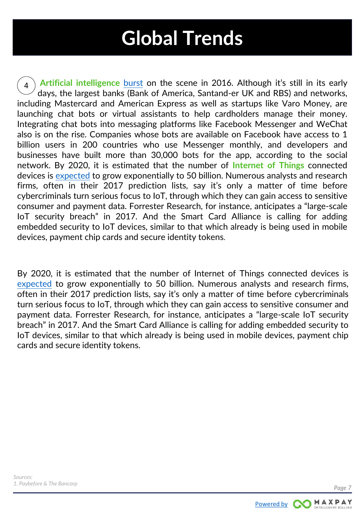## **Global Trends**

**Artificial intelligence** [burst](http://paybefore.com/wp-content/uploads/2017/01/payments_year_in_review_paybefore.pdf) on the scene in 2016. Although it's still in its early days, the largest banks (Bank of America, Santand-er UK and RBS) and networks, including Mastercard and American Express as well as startups like Varo Money, are launching chat bots or virtual assistants to help cardholders manage their money. Integrating chat bots into messaging platforms like Facebook Messenger and WeChat also is on the rise. Companies whose bots are available on Facebook have access to 1 billion users in 200 countries who use Messenger monthly, and developers and businesses have built more than 30,000 bots for the app, according to the social network. By 2020, it is estimated that the number of **Internet of Things** connected devices is [expected](https://blog.radware.com/security/2016/12/rise-internet-things-iot/) to grow exponentially to 50 billion. Numerous analysts and research firms, often in their 2017 prediction lists, say it's only a matter of time before cybercriminals turn serious focus to IoT, through which they can gain access to sensitive consumer and payment data. Forrester Research, for instance, anticipates a "large-scale IoT security breach" in 2017. And the Smart Card Alliance is calling for adding embedded security to IoT devices, similar to that which already is being used in mobile devices, payment chip cards and secure identity tokens. [4](http://paybefore.com/wp-content/uploads/2017/01/payments_year_in_review_paybefore.pdf)

By 2020, it is estimated that the number of Internet of Things connected devices is [expected](https://blog.radware.com/security/2016/12/rise-internet-things-iot/) to grow exponentially to 50 billion. Numerous analysts and research firms, often in their 2017 prediction lists, say it's only a matter of time before cybercriminals turn serious focus to IoT, through which they can gain access to sensitive consumer and payment data. Forrester Research, for instance, anticipates a "large-scale IoT security breach" in 2017. And the Smart Card Alliance is calling for adding embedded security to IoT devices, similar to that which already is being used in mobile devices, payment chip cards and secure identity tokens.

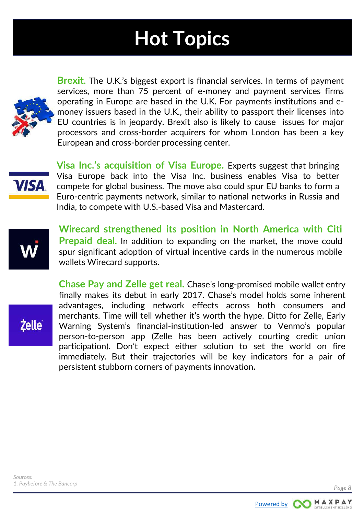# **Hot Topics**

<span id="page-7-0"></span>

**Brexit.** The U.K.'s biggest export is financial services. In terms of payment services, more than 75 percent of e-money and payment services firms operating in Europe are based in the U.K. For payments institutions and emoney issuers based in the U.K., their ability to passport their licenses into EU countries is in jeopardy. Brexit also is likely to cause issues for major processors and cross-border acquirers for whom London has been a key European and cross-border processing center.



**Visa Inc.'s acquisition of Visa Europe.** Experts suggest that bringing Visa Europe back into the Visa Inc. business enables Visa to better compete for global business. The move also could spur EU banks to form a Euro-centric payments network, similar to national networks in Russia and India, to compete with U.S.-based Visa and Mastercard.



**Wirecard strengthened its position in North America with Citi Prepaid deal.** In addition to expanding on the market, the move could spur significant adoption of virtual incentive cards in the numerous mobile wallets Wirecard supports.

**Żelle** 

**Chase Pay and Zelle get real.** Chase's long-promised mobile wallet entry finally makes its debut in early 2017. Chase's model holds some inherent advantages, including network effects across both consumers and merchants. Time will tell whether it's worth the hype. Ditto for Zelle, Early Warning System's financial-institution-led answer to Venmo's popular person-to-person app (Zelle has been actively courting credit union participation). Don't expect either solution to set the world on fire immediately. But their trajectories will be key indicators for a pair of persistent stubborn corners of payments innovation**.**

*Page 8*

[Powered by](https://start.maxpay.com/) **COMAXPAY**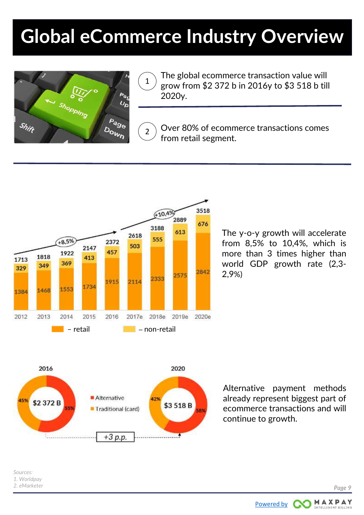## <span id="page-8-0"></span>**Global eCommerce Industry Overview**

2



1 The global ecommerce transaction value will grow from \$2 372 b in 2016y to \$3 518 b till 2020y.

Over 80% of ecommerce transactions comes from retail segment.







Alternative payment methods already represent biggest part of ecommerce transactions and will continue to growth.

[Powered by](https://start.maxpay.com/) **CO** 

MAXPAY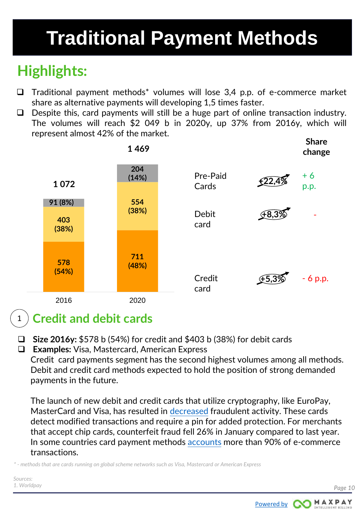# **Traditional Payment Methods**

### **Highlights:**

- $\Box$  Traditional payment methods\* volumes will lose 3,4 p.p. of e-commerce market share as alternative payments will developing 1,5 times faster.
- $\Box$  Despite this, card payments will still be a huge part of online transaction industry. The volumes will reach \$2 049 b in 2020y, up 37% from 2016y, which will represent almost 42% of the market.



#### 1 **Credit and debit cards**

- **Size 2016y:** \$578 b (54%) for credit and \$403 b (38%) for debit cards
- **Examples:** Visa, Mastercard, American Express

Credit card payments segment has the second highest volumes among all methods. Debit and credit card methods expected to hold the position of strong demanded payments in the future.

The launch of new debit and credit cards that utilize cryptography, like EuroPay, MasterCard and Visa, has resulted in [decreased](http://www.marketwatch.com/story/emv-chip-cards-have-helped-lower-fraud-but-people-still-hate-them-2016-06-10) fraudulent activity. These cards detect modified transactions and require a pin for added protection. For merchants that accept chip cards, counterfeit fraud fell 26% in January compared to last year. In some countries card payment methods [accounts](https://www.payments.ca/sites/default/files/cpmt_report_english_0.pdf) more than 90% of e-commerce transactions.

*\* - methods that are cards running on global scheme networks such as Visa, Mastercard or American Express*

*Sources: 1. Worldpay*



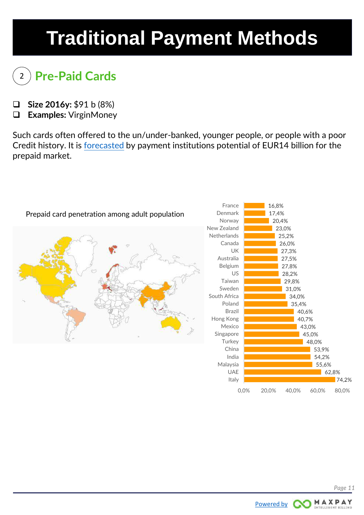# <span id="page-10-0"></span>**Traditional Payment Methods**

### 2 **Pre-Paid Cards**

- **Size 2016y:** \$91 b (8%)
- **Examples:** VirginMoney

Such cards often offered to the un/under-banked, younger people, or people with a poor Credit history. It is [forecasted](http://unjolisite.com/LIMONETIK/carto_finale.pdf) by payment institutions potential of EUR14 billion for the prepaid market.





0,0% 20,0% 40,0% 60,0% 80,0%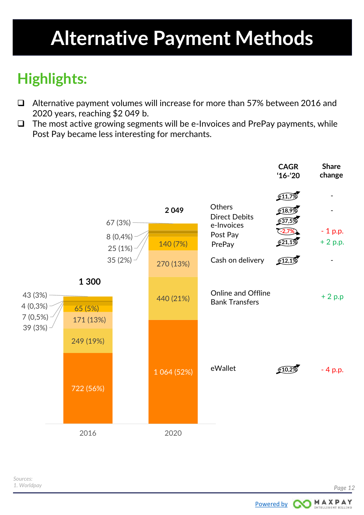### <span id="page-11-0"></span>**Highlights:**

- Alternative payment volumes will increase for more than 57% between 2016 and 2020 years, reaching \$2 049 b.
- $\Box$  The most active growing segments will be e-Invoices and PrePay payments, while Post Pay became less interesting for merchants.



[Powered by](https://start.maxpay.com/) **COMAXPAY**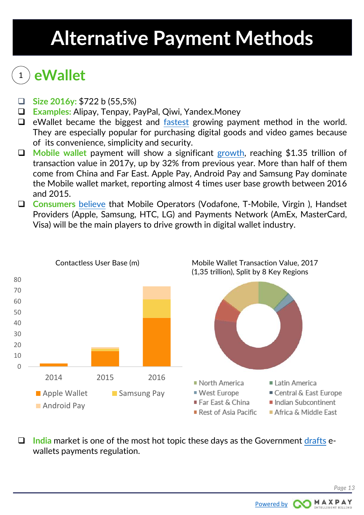### <sup>1</sup> **eWallet**

- **Size 2016y:** \$722 b (55,5%)
- **Examples:** Alipay, Tenpay, PayPal, Qiwi, Yandex.Money
- $\Box$  eWallet became the biggest and [fastest](http://blog.unibulmerchantservices.com/on-the-evolution-of-e-commerce-and-the-rise-of-e-wallets/) growing payment method in the world. They are especially popular for purchasing digital goods and video games because of its convenience, simplicity and security.
- **Mobile wallet** payment will show a significant [growth,](https://www.mobilepaymentstoday.com/news/mobile-wallet-spend-expected-to-rise-in-2017/) reaching \$1.35 trillion of transaction value in 2017y, up by 32% from previous year. More than half of them come from China and Far East. Apple Pay, Android Pay and Samsung Pay dominate the Mobile wallet market, reporting almost 4 times user base growth between 2016 and 2015.
- **Consumers** [believe](http://www.paymentscardsandmobile.com/publication-downloads/reports/dpr2016/PCM:AMEX_DPR2016_FINAL.pdf) that Mobile Operators (Vodafone, T-Mobile, Virgin ), Handset Providers (Apple, Samsung, HTC, LG) and Payments Network (AmEx, MasterCard, Visa) will be the main players to drive growth in digital wallet industry.



 **India** market is one of the most hot topic these days as the Government [drafts](http://www.livemint.com/Politics/rNNZO4tNtVOxSabexUOA7M/Government-drafts-digital-payments-rules-for-ewallets.html) ewallets payments regulation.

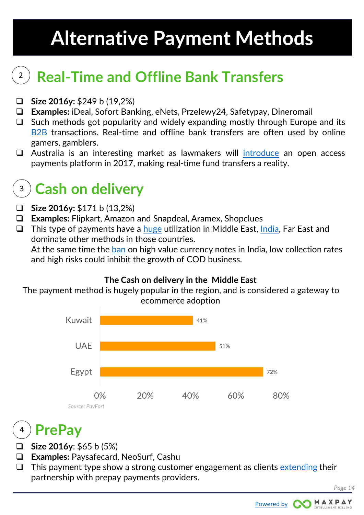#### **Real-Time and Offline Bank Transfers**  2

- **Size 2016y:** \$249 b (19,2%)
- **Examples:** iDeal, Sofort Banking, eNets, Przelewy24, Safetypay, Dineromail
- $\Box$  Such methods got popularity and widely expanding mostly through Europe and its [B2B](https://www.frbservices.org/files/communications/pdf/research/wire_transfer_research_final.pdf) transactions. Real-time and offline bank transfers are often used by online gamers, gamblers.
- □ Australia is an interesting market as lawmakers will [introduce](https://www.finder.com.au/australia-will-have-real-time-bank-transfers-by-2017) an open access payments platform in 2017, making real-time fund transfers a reality.

### **Cash on delivery** 3

- **Size 2016y:** \$171 b (13,2%)
- **Examples:** Flipkart, Amazon and Snapdeal, Aramex, Shopclues
- $\Box$  This type of payments have a [huge](https://www.paymentssource.com/opinion/want-to-offer-e-commerce-in-the-middle-east-embrace-cash-on-delivery) utilization in Middle East, [India](http://timesofindia.indiatimes.com/city/bhubaneswar/93-teenagers-in-bhubaneswar-do-online-shopping-survey/articleshow/57044553.cms), Far East and dominate other methods in those countries.

At the same time the [ban](https://yourstory.com/2016/11/currency-notes-cash-on-delivery-ecommerce/) on high value currency notes in India, low collection rates and high risks could inhibit the growth of COD business.

#### **The Cash on delivery in the Middle East**

The payment method is hugely popular in the region, and is considered a gateway to ecommerce adoption



### **PrePay** 4

- **Size 2016y: \$65 b (5%)**
- **Examples:** Paysafecard, NeoSurf, Cashu
- $\Box$  This payment type show a strong customer engagement as clients [extending](http://www.esports-pro.com/articles/business/esl-extends-paysafecard-deal-for-another-year) their partnership with prepay payments providers.

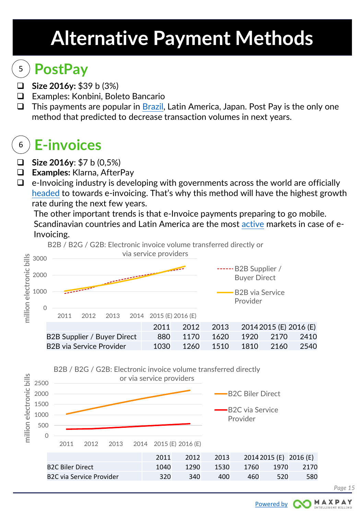### <sup>5</sup> **PostPay**

- **Size 2016y:** \$39 b (3%)
- Examples: Konbini, Boleto Bancario
- $\Box$  This payments are popular in [Brazil](https://techinbrazil.com/general-practices-for-accepting-boleto-bancario-payment-in-brazil), Latin America, Japan. Post Pay is the only one method that predicted to decrease transaction volumes in next years.

### <sup>6</sup> **E-invoices**

- **Size 2016y**: \$7 b (0,5%)
- **Examples:** Klarna, AfterPay
- $\Box$  e-Invoicing industry is developing with governments across the world are officially [headed](https://due.com/blog/trends-e-invoicing/) to towards e-invoicing. That's why this method will have the highest growth rate during the next few years.

The other important trends is that e-Invoice payments preparing to go mobile. Scandinavian countries and Latin America are the most [active](http://www.billentis.com/einvoicing_ebilling_market_overview_2016.pdf) markets in case of e-Invoicing.





*Page 15*

MAXPAY [Powered by](https://start.maxpay.com/)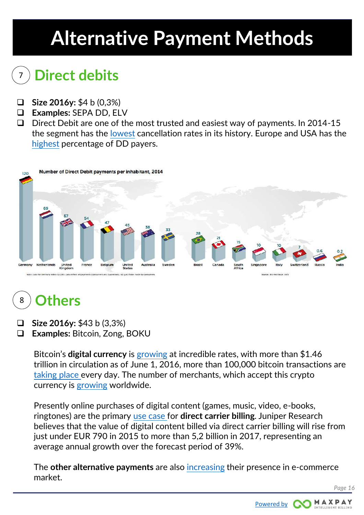### <sup>7</sup> **Direct debits**

- **Size 2016y:** \$4 b (0,3%)
- **Examples:** SEPA DD, ELV
- $\Box$  Direct Debit are one of the most trusted and easiest way of payments. In 2014-15 the segment has the [lowest](http://rapidataservices.com/wp-content/uploads/2016/07/Rapidata_Tracking_Report_FINAL-online.pdf) cancellation rates in its history. Europe and USA has the [highest](http://www.paymentsuk.org.uk/sites/default/files/World Class Payments - A report on how consumers around the world make payments.pdf) percentage of DD payers.



#### 8 **Others**

- **Size 2016y:** \$43 b (3,3%)
- **Examples:** Bitcoin, Zong, BOKU

Bitcoin's **digital currency** is [growing](http://www.businessinsider.com/satoshi-nakamoto-owns-one-million-bitcoin-700-price-2016-6) at incredible rates, with more than \$1.46 trillion in circulation as of June 1, 2016, more than 100,000 bitcoin transactions are [taking place](http://www.businessmirror.com.ph/2017-trends-the-synthesis-of-mobile-and-digital-tech/) every day. The number of merchants, which accept this crypto currency is [growing](http://asia.nikkei.com/Business/Trends/Bitcoin-seen-spreading-to-20-000-Japanese-merchants) worldwide.

Presently online purchases of digital content (games, music, video, e-books, ringtones) are the primary [use case f](https://www.febelfin.be/sites/default/files/InDepth/ecommerce_payment_methods_report_2016_aeu_global_payments_insights.pdf)or **direct carrier billing**. Juniper Research believes that the value of digital content billed via direct carrier billing will rise from just under EUR 790 in 2015 to more than 5,2 billion in 2017, representing an average annual growth over the forecast period of 39%.

The **other alternative payments** are also [increasing](https://www.mobilepaymentstoday.com/news/boku-extends-direct-carrier-billing-for-windows-store-to-the-uk-italy/) their presence in e-commerce market.

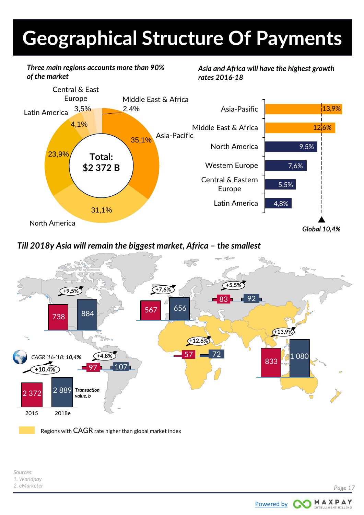# <span id="page-16-0"></span>**Geographical Structure Of Payments**

*Three main regions accounts more than 90% of the market*

*Asia and Africa will have the highest growth rates 2016-18*



#### *Till 2018y Asia will remain the biggest market, Africa – the smallest*



Regions with CAGR rate higher than global market index

*Sources: 1. Worldpay 2. eMarketer*

MAXPAY

[Powered by](https://start.maxpay.com/)

ററ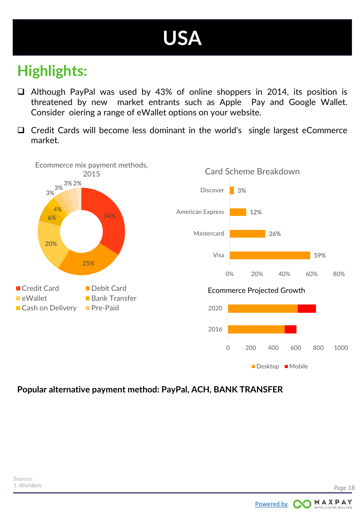## **USA**

### <span id="page-17-0"></span>**Highlights:**

- Although PayPal was used by 43% of online shoppers in 2014, its position is threatened by new market entrants such as Apple Pay and Google Wallet. Consider oіering a range of eWallet options on your website.
- $\Box$  Credit Cards will become less dominant in the world's single largest eCommerce market.



#### **Popular alternative payment method: PayPal, ACH, BANK TRANSFER**

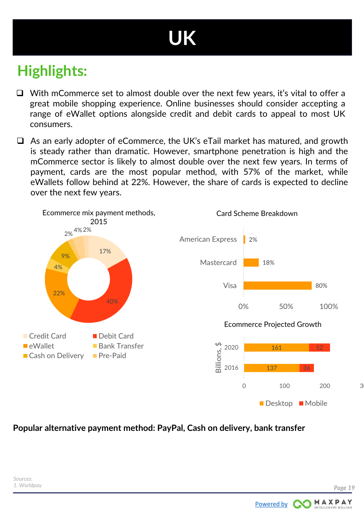# **UK**

### <span id="page-18-0"></span>**Highlights:**

- $\Box$  With mCommerce set to almost double over the next few years, it's vital to offer a great mobile shopping experience. Online businesses should consider accepting a range of eWallet options alongside credit and debit cards to appeal to most UK consumers.
- $\Box$  As an early adopter of eCommerce, the UK's eTail market has matured, and growth is steady rather than dramatic. However, smartphone penetration is high and the mCommerce sector is likely to almost double over the next few years. In terms of payment, cards are the most popular method, with 57% of the market, while eWallets follow behind at 22%. However, the share of cards is expected to decline over the next few years.



#### **Popular alternative payment method: PayPal, Cash on delivery, bank transfer**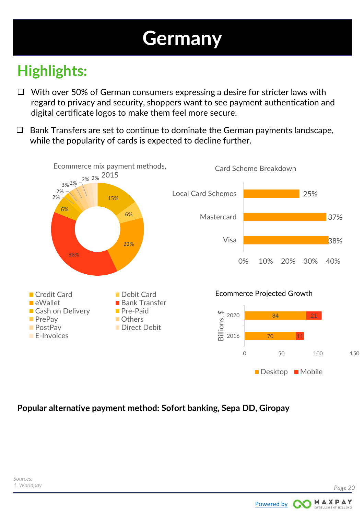## **Germany**

### <span id="page-19-0"></span>**Highlights:**

- $\Box$  With over 50% of German consumers expressing a desire for stricter laws with regard to privacy and security, shoppers want to see payment authentication and digital certificate logos to make them feel more secure.
- $\Box$  Bank Transfers are set to continue to dominate the German payments landscape, while the popularity of cards is expected to decline further.



#### **Popular alternative payment method: Sofort banking, Sepa DD, Giropay**

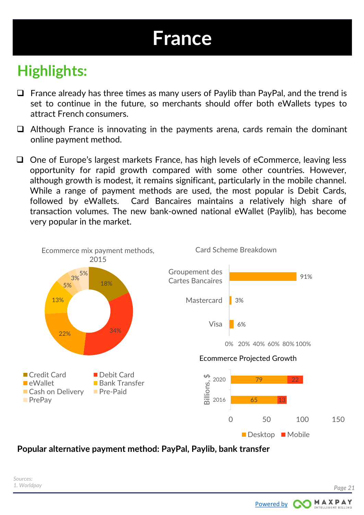## **France**

### <span id="page-20-0"></span>**Highlights:**

- $\Box$  France already has three times as many users of Paylib than PayPal, and the trend is set to continue in the future, so merchants should offer both eWallets types to attract French consumers.
- $\Box$  Although France is innovating in the payments arena, cards remain the dominant online payment method.
- $\Box$  One of Europe's largest markets France, has high levels of eCommerce, leaving less opportunity for rapid growth compared with some other countries. However, although growth is modest, it remains significant, particularly in the mobile channel. While a range of payment methods are used, the most popular is Debit Cards, followed by eWallets. Card Bancaires maintains a relatively high share of transaction volumes. The new bank-owned national eWallet (Paylib), has become very popular in the market.



#### **Popular alternative payment method: PayPal, Paylib, bank transfer**

MAXPAY

[Powered by](https://start.maxpay.com/) **CO**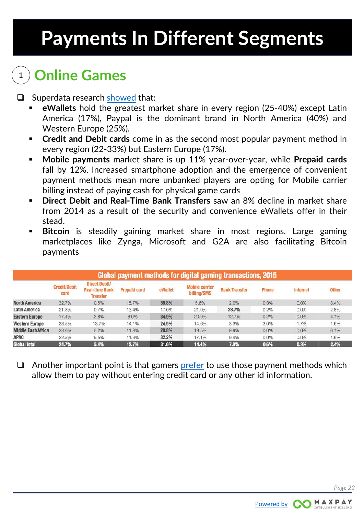# <span id="page-21-0"></span>**Payments In Different Segments**

### <sup>1</sup> **Online Games**

 $\Box$  Superdata research [showed](https://www.superdataresearch.com/market-data/payment-preferences-of-gamers-worldwide/) that:

- **eWallets** hold the greatest market share in every region (25-40%) except Latin America (17%), Paypal is the dominant brand in North America (40%) and Western Europe (25%).
- **Credit and Debit cards** come in as the second most popular payment method in every region (22-33%) but Eastern Europe (17%).
- **Mobile payments** market share is up 11% year-over-year, while **Prepaid cards** fall by 12%. Increased smartphone adoption and the emergence of convenient payment methods mean more unbanked players are opting for Mobile carrier billing instead of paying cash for physical game cards
- **Direct Debit and Real-Time Bank Transfers** saw an 8% decline in market share from 2014 as a result of the security and convenience eWallets offer in their stead.
- **Bitcoin** is steadily gaining market share in most regions. Large gaming marketplaces like Zynga, Microsoft and G2A are also facilitating Bitcoin payments

| Global payment methods for digital gaming transactions, 2015 |                             |                                                           |                     |         |                                      |                      |       |          |              |  |
|--------------------------------------------------------------|-----------------------------|-----------------------------------------------------------|---------------------|---------|--------------------------------------|----------------------|-------|----------|--------------|--|
|                                                              | <b>Credit/Debit</b><br>card | Direct Debit/<br><b>Real-time Bank</b><br><b>Transfer</b> | <b>Prepaid card</b> | eWallet | <b>Mobile carrier</b><br>billing/SMS | <b>Bank Transfer</b> | Phone | Internet | <b>Other</b> |  |
| <b>North America</b>                                         | 32.7%                       | 0.5%                                                      | 15.7%               | 39.8%   | 5.6%                                 | 2.0%                 | 0.3%  | 0.0%     | 3.4%         |  |
| Latin America                                                | 21.3%                       | 0.7%                                                      | 13.4%               | 17.0%   | 21.0%                                | 23.7%                | 0.2%  | 0.0%     | 2.8%         |  |
| <b>Eastern Europe</b>                                        | 17.4%                       | 2.8%                                                      | 6.9%                | 34.9%   | 20.9%                                | 12.7%                | 0.2%  | 0.0%     | 4.1%         |  |
| <b>Western Europe</b>                                        | 23.5%                       | 13.7%                                                     | 14.1%               | 24.5%   | 14.6%                                | 3.3%                 | 3.0%  | 1.7%     | 1.6%         |  |
| <b>Middle East/Africa</b>                                    | 23.6%                       | 5.2%                                                      | 11.8%               | 29.8%   | 13.5%                                | 9.9%                 | 0.0%  | 0.0%     | 6.1%         |  |
| <b>APAC</b>                                                  | 22.5%                       | 5.5%                                                      | 11.3%               | 32.2%   | 17.1%                                | 9.4%                 | 0.0%  | 0.0%     | 1.9%         |  |
| <b>Giobal total</b>                                          | 24.7%                       | 5.4%                                                      | 12.7%               | 31.6%   | 14.4%                                | 7.8%                 | 0.6%  | 0.3%     | 2.4%         |  |

 $\Box$  Another important point is that gamers [prefer](http://venturebeat.com/2013/02/15/4-payments-trends-that-will-shape-the-future-of-game-development/) to use those payment methods which allow them to pay without entering credit card or any other id information.

[Powered by](https://start.maxpay.com/) **COMAXPAY**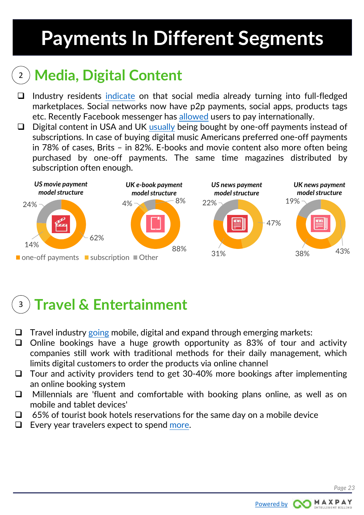# <span id="page-22-0"></span>**Payments In Different Segments**

### <sup>2</sup> **Media, Digital Content**

- $\Box$  Industry residents [indicate](http://www.cio.com/article/3152686/retail/5-digital-retail-trends-that-will-be-big-in-2017.html) on that social media already turning into full-fledged marketplaces. Social networks now have p2p payments, social apps, products tags etc. Recently Facebook messenger has [allowed](http://www.digitaltrends.com/mobile/facebook-messenger-overseas-transfers/) users to pay internationally.
- $\Box$  Digital content in USA and UK [usually](https://alternativepayments.worldpay.com/digital-payment-trends/) being bought by one-off payments instead of subscriptions. In case of buying digital music Americans preferred one-off payments in 78% of cases, Brits – in 82%. E-books and movie content also more often being purchased by one-off payments. The same time magazines distributed by subscription often enough.



### <sup>3</sup> **Travel & Entertainment**

- $\Box$  Travel industry [going](https://www.trekksoft.com/en/blog/travel-tourism-stats-2016) mobile, digital and expand through emerging markets:
- $\Box$  Online bookings have a huge growth opportunity as 83% of tour and activity companies still work with traditional methods for their daily management, which limits digital customers to order the products via online channel
- $\Box$  Tour and activity providers tend to get 30-40% more bookings after implementing an online booking system
- Millennials are 'fluent and comfortable with booking plans online, as well as on mobile and tablet devices'
- $\Box$  65% of tourist book hotels reservations for the same day on a mobile device
- $\Box$  Every year travelers expect to spend [more.](https://www.tripadvisor.com/TripAdvisorInsights/n2670/6-key-travel-trends-2016)

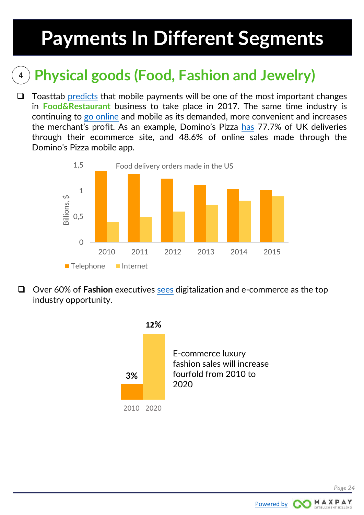## <span id="page-23-0"></span>**Payments In Different Segments**

### <sup>4</sup> **Physical goods (Food, Fashion and Jewelry)**

 $\Box$  Toasttab [predicts](https://pos.toasttab.com/blog/2017-restaurant-tech-trends) that mobile payments will be one of the most important changes in **Food&Restaurant** business to take place in 2017. The same time industry is continuing to go [online](https://pos.toasttab.com/blog/online-food-ordering-system) and mobile as its demanded, more convenient and increases the merchant's profit. As an example, Domino's Pizza [has](https://www.securetrading.com/blog/key-trends-online-payment-processing/) 77.7% of UK deliveries through their ecommerce site, and 48.6% of online sales made through the Domino's Pizza mobile app.



 Over 60% of **Fashion** executives [sees](https://www.businessoffashion.com/site/uploads/2016/11/The_State_of_Fashion_2017.pdf) digitalization and e-commerce as the top industry opportunity.



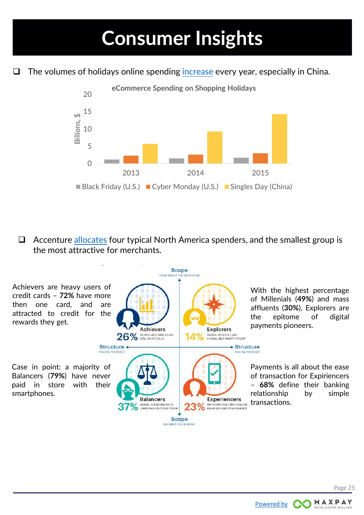<span id="page-24-0"></span> $\Box$  The volumes of holidays online spending [increase](http://www.criteo.com/resources/criteo-ecommerce-industry-outlook-2016/) every year, especially in China.



 $\Box$  Accenture [allocates](https://www.accenture.com/t20161013T024052__w__/us-en/_acnmedia/PDF-34/Accenture-2016-North-America-Consumer-Digital-Payments-Survey.pdf) four typical North America spenders, and the smallest group is the most attractive for merchants.



MAXPAY

[Powered by](https://start.maxpay.com/) **CO**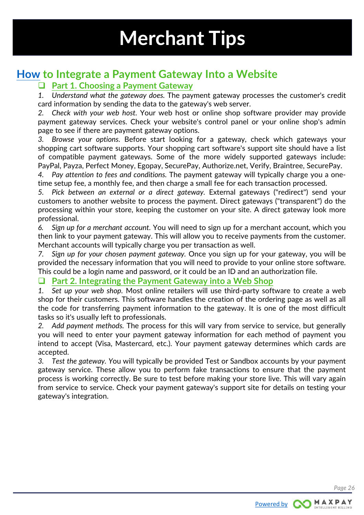#### <span id="page-25-0"></span>**[How](http://www.wikihow.com/Integrate-a-Payment-Gateway-Into-a-Website) to Integrate a Payment Gateway Into a Website**

#### **Part 1. Choosing a Payment Gateway**

*1. Understand what the gateway does.* The payment gateway processes the customer's credit card information by sending the data to the gateway's web server.

*2. Check with your web host.* Your web host or online shop software provider may provide payment gateway services. Check your website's control panel or your online shop's admin page to see if there are payment gateway options.

*3. Browse your options.* Before start looking for a gateway, check which gateways your shopping cart software supports. Your shopping cart software's support site should have a list of compatible payment gateways. Some of the more widely supported gateways include: PayPal, Payza, Perfect Money, Egopay, SecurePay, Authorize.net, Verify, Braintree, SecurePay.

*4. Pay attention to fees and conditions.* The payment gateway will typically charge you a onetime setup fee, a monthly fee, and then charge a small fee for each transaction processed.

*5. Pick between an external or a direct gateway.* External gateways ("redirect") send your customers to another website to process the payment. Direct gateways ("transparent") do the processing within your store, keeping the customer on your site. A direct gateway look more professional.

*6. Sign up for a merchant account.* You will need to sign up for a merchant account, which you then link to your payment gateway. This will allow you to receive payments from the customer. Merchant accounts will typically charge you per transaction as well.

*7. Sign up for your chosen payment gateway.* Once you sign up for your gateway, you will be provided the necessary information that you will need to provide to your online store software. This could be a login name and password, or it could be an ID and an authorization file.

#### **Part 2. Integrating the Payment Gateway into a Web Shop**

*1. Set up your web shop.* Most online retailers will use third-party software to create a web shop for their customers. This software handles the creation of the ordering page as well as all the code for transferring payment information to the gateway. It is one of the most difficult tasks so it's usually left to professionals.

*2. Add payment methods.* The process for this will vary from service to service, but generally you will need to enter your payment gateway information for each method of payment you intend to accept (Visa, Mastercard, etc.). Your payment gateway determines which cards are accepted.

*3. Test the gateway. Y*ou will typically be provided Test or Sandbox accounts by your payment gateway service. These allow you to perform fake transactions to ensure that the payment process is working correctly. Be sure to test before making your store live. This will vary again from service to service. Check your payment gateway's support site for details on testing your gateway's integration.

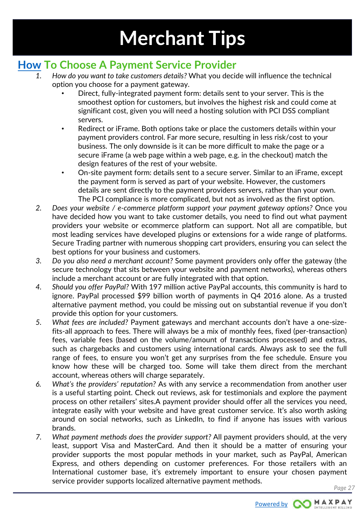#### <span id="page-26-0"></span>**[How](http://www.securetrading.com/blog/how-to-choose-a-payment-service-provider/) To Choose A Payment Service Provider**

- *1. How do you want to take customers details?* What you decide will influence the technical option you choose for a payment gateway.
	- Direct, fully-integrated payment form: details sent to your server. This is the smoothest option for customers, but involves the highest risk and could come at significant cost, given you will need a hosting solution with PCI DSS compliant servers.
	- Redirect or iFrame. Both options take or place the customers details within your payment providers control. Far more secure, resulting in less risk/cost to your business. The only downside is it can be more difficult to make the page or a secure iFrame (a web page within a web page, e.g. in the checkout) match the design features of the rest of your website.
	- On-site payment form: details sent to a secure server. Similar to an iFrame, except the payment form is served as part of your website. However, the customers details are sent directly to the payment providers servers, rather than your own. The PCI compliance is more complicated, but not as involved as the first option.
- *2. Does your website / e-commerce platform support your payment gateway options?* Once you have decided how you want to take customer details, you need to find out what payment providers your website or ecommerce platform can support. Not all are compatible, but most leading services have developed plugins or extensions for a wide range of platforms. Secure Trading partner with numerous shopping cart providers, ensuring you can select the best options for your business and customers.
- *3. Do you also need a merchant account?* Some payment providers only offer the gateway (the secure technology that sits between your website and payment networks), whereas others include a merchant account or are fully integrated with that option.
- *4. Should you offer PayPal?* With 197 million active PayPal accounts, this community is hard to ignore. PayPal processed \$99 billion worth of payments in Q4 2016 alone. As a trusted alternative payment method, you could be missing out on substantial revenue if you don't provide this option for your customers.
- *5. What fees are included?* Payment gateways and merchant accounts don't have a one-sizefits-all approach to fees. There will always be a mix of monthly fees, fixed (per-transaction) fees, variable fees (based on the volume/amount of transactions processed) and extras, such as chargebacks and customers using international cards. Always ask to see the full range of fees, to ensure you won't get any surprises from the fee schedule. Ensure you know how these will be charged too. Some will take them direct from the merchant account, whereas others will charge separately.
- *6. What's the providers' reputation?* As with any service a recommendation from another user is a useful starting point. Check out reviews, ask for testimonials and explore the payment process on other retailers' sites.A payment provider should offer all the services you need, integrate easily with your website and have great customer service. It's also worth asking around on social networks, such as LinkedIn, to find if anyone has issues with various brands.
- *7. What payment methods does the provider support?* All payment providers should, at the very least, support Visa and MasterCard. And then it should be a matter of ensuring your provider supports the most popular methods in your market, such as PayPal, American Express, and others depending on customer preferences. For those retailers with an International customer base, it's extremely important to ensure your chosen payment service provider supports localized alternative payment methods.

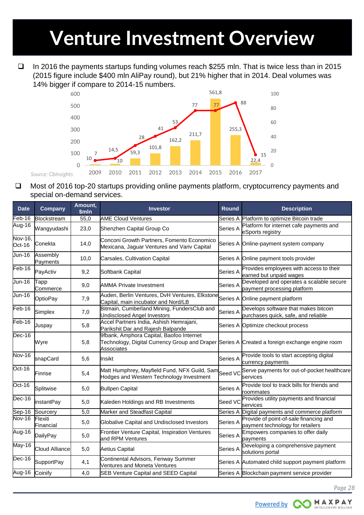## <span id="page-27-0"></span>**Venture Investment Overview**

 $\Box$  In 2016 the payments startups funding volumes reach \$255 mln. That is twice less than in 2015 (2015 figure include \$400 mln AliPay round), but 21% higher that in 2014. Deal volumes was 14% bigger if compare to 2014-15 numbers.



□ Most of 2016 top-20 startups providing online payments platform, cryptocurrency payments and special on-demand services.

| <b>Date</b>                | Company              | Amount,<br>\$mln | <b>Investor</b>                                                                                                                                         |          | <b>Description</b>                                                          |  |  |  |
|----------------------------|----------------------|------------------|---------------------------------------------------------------------------------------------------------------------------------------------------------|----------|-----------------------------------------------------------------------------|--|--|--|
| Feb-16                     | Blockstream          | 55,0             | <b>AME Cloud Ventures</b>                                                                                                                               |          | Series A Platform to optimize Bitcoin trade                                 |  |  |  |
| Aug-16                     | Wangyudashi          | 23,0             | Shenzhen Capital Group Co                                                                                                                               | Series A | Platform for internet cafe payments and<br>eSports registry                 |  |  |  |
| Nov-16,<br>Oct-16          | Conekta              | 14,0             | Conconi Growth Partners, Fomento Economico<br>Mexicana, Jaguar Ventures and Variv Capital                                                               |          | Series A Online-payment system company                                      |  |  |  |
| <b>Jun-16</b>              | Assembly<br>Payments | 10,0             | Carsales, Cultivation Capital                                                                                                                           |          | Series A Online payment tools provider                                      |  |  |  |
| $\overline{\text{Feb-16}}$ | PayActiv             | 9,2              | Softbank Capital                                                                                                                                        | Series A | Provides employees with access to their<br>earned but unpaid wages          |  |  |  |
| Jun-16                     | Tapp<br>Commerce     | 9,0              | <b>AMMA Private Investment</b>                                                                                                                          | Series A | Developed and operates a scalable secure<br>payment processing platform     |  |  |  |
| Jun-16                     | OptioPay             | 7,9              | Auden, Berlin Ventures, DvH Ventures, Elkstone<br>Capital, main incubator and Nord/LB                                                                   |          | Series A Online payment platform                                            |  |  |  |
| $Feb-16$                   | Simplex              | 7,0              | Bitmain, Cumberland Mining, FundersClub and<br><b>Undisclosed Angel Investors</b>                                                                       | Series A | Develops software that makes bitcoin<br>purchases quick, safe, and reliable |  |  |  |
| $Feb-16$                   | Juspay               | 5,8              | Accel Partners India, Ashish Hemrajani,<br>Parikshit Dar and Rajesh Balpande                                                                            | Series A | Optimize checkout process                                                   |  |  |  |
| $Dec-16$                   | Wyre                 | 5,8              | 9fbank, Amphora Capital, Baofoo Internet<br>Technology, Digital Currency Group and Draper Series A Created a foreign exchange engine room<br>Associates |          |                                                                             |  |  |  |
| Nov-16                     | snapCard             | 5,6              | Insikt                                                                                                                                                  | Series A | Provide tools to start accepting digital<br>currency payments               |  |  |  |
| $Oct-16$                   | Finrise              | 5,4              | Matt Humphrey, Mayfield Fund, NFX Guild, Samcsed VC<br>Hodges and Western Technology Investment                                                         |          | Serve payments for out-of-pocket healthcare<br>services                     |  |  |  |
| $Oct-16$                   | Splitwise            | 5,0              | <b>Bullpen Capital</b>                                                                                                                                  | Series A | Provide tool to track bills for friends and<br>roommates                    |  |  |  |
| $Dec-16$                   | instantPay           | 5,0              | Kaleden Holdings and RB Investments                                                                                                                     | Seed VC  | Provides utility payments and financial<br>services                         |  |  |  |
| Sep-16                     | Sourcery             | 5,0              | Marker and Steadfast Capital                                                                                                                            | Series A | Digital payments and commerce platform                                      |  |  |  |
| Nov-16                     | Flexiti<br>Financial | 5,0              | <b>Globalive Capital and Undisclosed Investors</b>                                                                                                      | Series A | Provide of point-of-sale financing and<br>payment technology for retailers  |  |  |  |
| Aug-16                     | DailyPay             | 5,0              | Frontier Venture Capital, Inspiration Ventures<br>and RPM Ventures                                                                                      | Series A | Empowers companies to offer daily<br>payments                               |  |  |  |
| May-16                     | Cloud Alliance       | 5,0              | Aetius Capital                                                                                                                                          | Series A | Developing a comprehensive payment<br>solutions portal                      |  |  |  |
| $\overline{Dec-16}$        | <b>SupportPay</b>    | 4,1              | Continental Advisors, Fenway Summer<br>Ventures and Moneta Ventures                                                                                     |          | Series A Automated child support payment platform                           |  |  |  |
| Aug-16                     | Coinify              | 4,0              | <b>SEB Venture Capital and SEED Capital</b>                                                                                                             |          | Series A Blockchain payment service provider                                |  |  |  |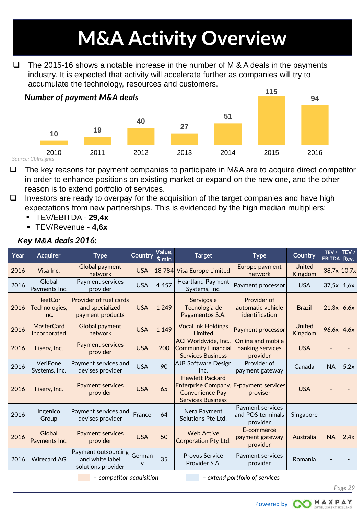# **M&A Activity Overview**

<span id="page-28-0"></span> $\Box$  The 2015-16 shows a notable increase in the number of M & A deals in the payments industry. It is expected that activity will accelerate further as companies will try to accumulate the technology, resources and customers.



*Source: CbInsights*

- $\Box$  The key reasons for payment companies to participate in M&A are to acquire direct competitor in order to enhance positions on existing market or expand on the new one, and the other reason is to extend portfolio of services.
- $\Box$  Investors are ready to overpay for the acquisition of the target companies and have high expectations from new partnerships. This is evidenced by the high median multipliers:
	- TEV/EBITDA **29,4х**
	- TEV/Revenue **4,6х**

| <b>Acquirer</b>                          | <b>Type</b>                                                          |             | \$mln   | <b>Target</b>                                                                  | <b>Type</b>                                        | <b>Country</b>                                                       | TEV /     | TEV /<br>Rev.                                             |
|------------------------------------------|----------------------------------------------------------------------|-------------|---------|--------------------------------------------------------------------------------|----------------------------------------------------|----------------------------------------------------------------------|-----------|-----------------------------------------------------------|
| Visa Inc.                                | Global payment<br>network                                            | <b>USA</b>  |         |                                                                                | Europe payment<br>network                          | United<br>Kingdom                                                    |           |                                                           |
| Global<br>Payments Inc.                  | Payment services<br>provider                                         | <b>USA</b>  | 4 4 5 7 | <b>Heartland Payment</b><br>Systems, Inc.                                      | Payment processor                                  | <b>USA</b>                                                           |           | 1,6x                                                      |
| <b>FleetCor</b><br>Technologies,<br>Inc. | <b>Provider of fuel cards</b><br>and specialized<br>payment products | <b>USA</b>  | 1 2 4 9 | Serviços e<br>Tecnologia de<br>Pagamentos S.A.                                 | Provider of<br>automatic vehicle<br>identification | <b>Brazil</b>                                                        |           | 6,6x                                                      |
| <b>MasterCard</b><br>Incorporated        | Global payment<br>network                                            | <b>USA</b>  | 1 1 4 9 | <b>VocaLink Holdings</b><br>Limited                                            | Payment processor                                  | <b>United</b><br>Kingdom                                             |           | 4,6x                                                      |
| Fiserv, Inc.                             | <b>Payment services</b><br>provider                                  | <b>USA</b>  | 200     | ACI Worldwide, Inc.,<br><b>Community Financial</b><br><b>Services Business</b> | Online and mobile<br>banking services<br>provider  | <b>USA</b>                                                           |           |                                                           |
| VeriFone<br>Systems, Inc.                | Payment services and<br>devises provider                             | <b>USA</b>  | 90      | Inc.                                                                           | Provider of<br>payment gateway                     | Canada                                                               | <b>NA</b> | 5,2x                                                      |
| Fiserv, Inc.                             | <b>Payment services</b><br>provider                                  | <b>USA</b>  | 65      | <b>Hewlett Packard</b><br><b>Convenience Pay</b><br><b>Services Business</b>   | proviser                                           | <b>USA</b>                                                           |           |                                                           |
| Ingenico<br>Group                        | Payment services and<br>devises provider                             | France      | 64      | Nera Payment<br>Solutions Pte Ltd.                                             | Payment services<br>and POS terminals<br>provider  | Singapore                                                            |           |                                                           |
| Global<br>Payments Inc.                  | <b>Payment services</b><br>provider                                  | <b>USA</b>  | 50      | <b>Web Active</b><br><b>Corporation Pty Ltd.</b>                               | E-commerce<br>payment gateway<br>provider          | Australia                                                            | <b>NA</b> | 2,4x                                                      |
| <b>Wirecard AG</b>                       | Payment outsourcing<br>and white label<br>solutions provider         | German<br>у | 35      | <b>Provus Service</b><br>Provider S.A.                                         | Payment services<br>provider                       | Romania                                                              |           |                                                           |
|                                          |                                                                      |             |         | Value,<br><b>Country</b>                                                       | 18 784 Visa Europe Limited                         | <b>AJB Software Design</b><br>Enterprise Company, E-payment services |           | <b>EBITDA</b><br>$38,7x$ 10,7x<br>37,5x<br>21,3x<br>96,6x |

#### *Key M&A deals 2016:*

*– competitor acquisition – extend portfolio of services*